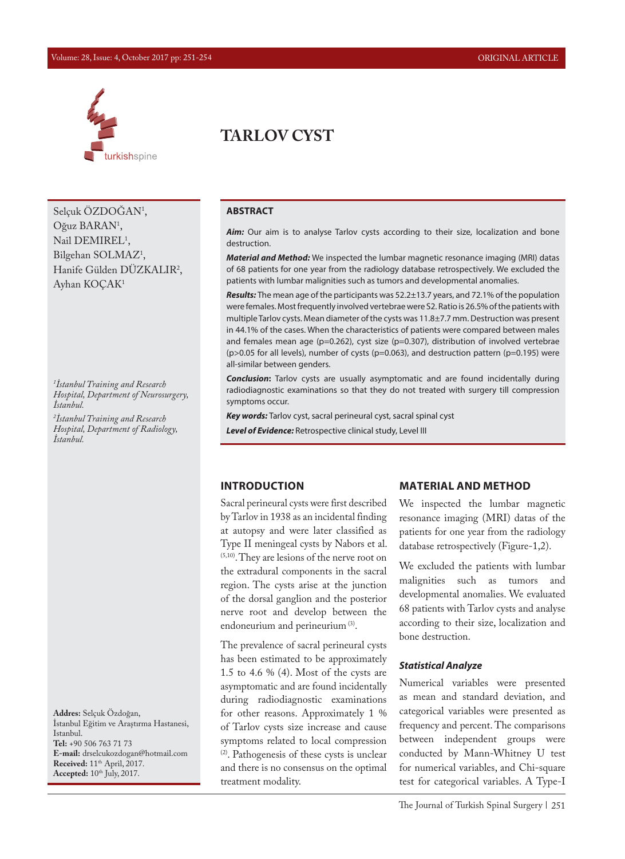#### Volume: 28, Issue: 4, October 2017 pp: 251-254 ORIGINAL ARTICLE



Selçuk ÖZDOGAN<sup>1</sup>, Oğuz BARAN<sup>1</sup>, Nail DEMIREL<sup>1</sup>, Bilgehan SOLMAZ<sup>1</sup>, Hanife Gülden DÜZKALIR2 , Ayhan KOÇAK1

*1 İstanbul Training and Research Hospital, Department of Neurosurgery, İstanbul.* 

*2 İstanbul Training and Research Hospital, Department of Radiology, İstanbul.*

**Addres:** Selçuk Özdoğan, İstanbul Eğitim ve Araştırma Hastanesi, Istanbul. **Tel:** +90 506 763 71 73 **E-mail:** drselcukozdogan@hotmail.com **Received:** 11<sup>th</sup> April, 2017. **Accepted:** 10<sup>th</sup> July, 2017.

# **TARLOV CYST**

### **ABSTRACT**

Aim: Our aim is to analyse Tarlov cysts according to their size, localization and bone destruction.

*Material and Method:* We inspected the lumbar magnetic resonance imaging (MRI) datas of 68 patients for one year from the radiology database retrospectively. We excluded the patients with lumbar malignities such as tumors and developmental anomalies.

*Results:* The mean age of the participants was 52.2±13.7 years, and 72.1% of the population were females. Most frequently involved vertebrae were S2. Ratio is 26.5% of the patients with multiple Tarlov cysts. Mean diameter of the cysts was 11.8±7.7 mm. Destruction was present in 44.1% of the cases. When the characteristics of patients were compared between males and females mean age (p=0.262), cyst size (p=0.307), distribution of involved vertebrae (p>0.05 for all levels), number of cysts (p=0.063), and destruction pattern (p=0.195) were all-similar between genders.

*Conclusion***:** Tarlov cysts are usually asymptomatic and are found incidentally during radiodiagnostic examinations so that they do not treated with surgery till compression symptoms occur.

*Key words:* Tarlov cyst, sacral perineural cyst, sacral spinal cyst

*Level of Evidence:* Retrospective clinical study, Level III

#### **INTRODUCTION**

Sacral perineural cysts were first described by Tarlov in 1938 as an incidental finding at autopsy and were later classified as Type II meningeal cysts by Nabors et al. (5,10). They are lesions of the nerve root on the extradural components in the sacral region. The cysts arise at the junction of the dorsal ganglion and the posterior nerve root and develop between the endoneurium and perineurium<sup>(3)</sup>.

The prevalence of sacral perineural cysts has been estimated to be approximately 1.5 to 4.6 % (4). Most of the cysts are asymptomatic and are found incidentally during radiodiagnostic examinations for other reasons. Approximately 1 % of Tarlov cysts size increase and cause symptoms related to local compression (2). Pathogenesis of these cysts is unclear and there is no consensus on the optimal treatment modality.

#### **MATERIAL AND METHOD**

We inspected the lumbar magnetic resonance imaging (MRI) datas of the patients for one year from the radiology database retrospectively (Figure-1,2).

We excluded the patients with lumbar malignities such as tumors and developmental anomalies. We evaluated 68 patients with Tarlov cysts and analyse according to their size, localization and bone destruction.

### *Statistical Analyze*

Numerical variables were presented as mean and standard deviation, and categorical variables were presented as frequency and percent. The comparisons between independent groups were conducted by Mann-Whitney U test for numerical variables, and Chi-square test for categorical variables. A Type-I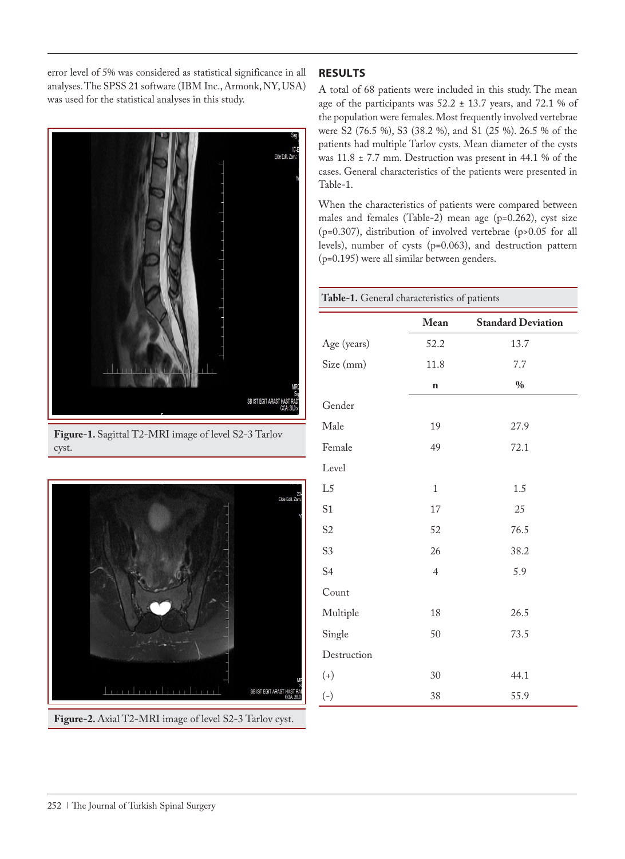error level of 5% was considered as statistical significance in all analyses. The SPSS 21 software (IBM Inc., Armonk, NY, USA) was used for the statistical analyses in this study.



**Figure-1.** Sagittal T2-MRI image of level S2-3 Tarlov cyst.



## **RESULTS**

A total of 68 patients were included in this study. The mean age of the participants was  $52.2 \pm 13.7$  years, and  $72.1$  % of the population were females. Most frequently involved vertebrae were S2 (76.5 %), S3 (38.2 %), and S1 (25 %). 26.5 % of the patients had multiple Tarlov cysts. Mean diameter of the cysts was 11.8 ± 7.7 mm. Destruction was present in 44.1 % of the cases. General characteristics of the patients were presented in Table-1.

When the characteristics of patients were compared between males and females (Table-2) mean age (p=0.262), cyst size (p=0.307), distribution of involved vertebrae (p>0.05 for all levels), number of cysts (p=0.063), and destruction pattern (p=0.195) were all similar between genders.

| Table-1. General characteristics of patients |                |                           |  |  |  |  |
|----------------------------------------------|----------------|---------------------------|--|--|--|--|
|                                              | Mean           | <b>Standard Deviation</b> |  |  |  |  |
| Age (years)                                  | 52.2           | 13.7                      |  |  |  |  |
| Size (mm)                                    | 11.8           | 7.7                       |  |  |  |  |
|                                              | $\mathbf n$    | $\%$                      |  |  |  |  |
| Gender                                       |                |                           |  |  |  |  |
| Male                                         | 19             | 27.9                      |  |  |  |  |
| Female                                       | 49             | 72.1                      |  |  |  |  |
| Level                                        |                |                           |  |  |  |  |
| L <sub>5</sub>                               | $\mathbf{1}$   | 1.5                       |  |  |  |  |
| S <sub>1</sub>                               | 17             | 25                        |  |  |  |  |
| S <sub>2</sub>                               | 52             | 76.5                      |  |  |  |  |
| S <sub>3</sub>                               | 26             | 38.2                      |  |  |  |  |
| S <sub>4</sub>                               | $\overline{4}$ | 5.9                       |  |  |  |  |
| Count                                        |                |                           |  |  |  |  |
| Multiple                                     | 18             | 26.5                      |  |  |  |  |
| Single                                       | 50             | 73.5                      |  |  |  |  |
| Destruction                                  |                |                           |  |  |  |  |
| $(+)$                                        | 30             | 44.1                      |  |  |  |  |
| $(-)$                                        | 38             | 55.9                      |  |  |  |  |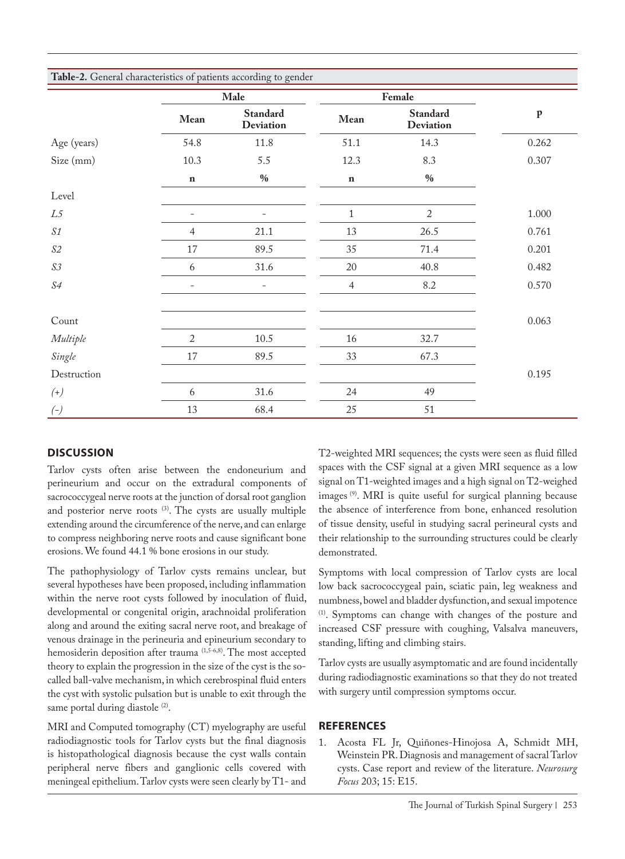| Table-2. General characteristics of patients according to gender |                          |                                     |                |                                     |              |  |  |
|------------------------------------------------------------------|--------------------------|-------------------------------------|----------------|-------------------------------------|--------------|--|--|
|                                                                  | Male                     |                                     | Female         |                                     |              |  |  |
|                                                                  | Mean                     | <b>Standard</b><br><b>Deviation</b> | Mean           | <b>Standard</b><br><b>Deviation</b> | $\mathbf{p}$ |  |  |
| Age (years)                                                      | 54.8                     | 11.8                                | 51.1           | 14.3                                | 0.262        |  |  |
| Size (mm)                                                        | 10.3                     | 5.5                                 | 12.3           | 8.3                                 | 0.307        |  |  |
|                                                                  | $\bf n$                  | $0/0$                               | $\mathbf n$    | $0/0$                               |              |  |  |
| Level                                                            |                          |                                     |                |                                     |              |  |  |
| L <sub>5</sub>                                                   | ۳                        |                                     | $\mathbf{1}$   | $\overline{2}$                      | 1.000        |  |  |
| $\mathcal{S1}$                                                   | 4                        | 21.1                                | 13             | 26.5                                | 0.761        |  |  |
| $\mathcal{S2}$                                                   | $17\,$                   | 89.5                                | 35             | 71.4                                | 0.201        |  |  |
| $\mathcal{S} \mathcal{S}$                                        | 6                        | 31.6                                | 20             | 40.8                                | 0.482        |  |  |
| $\sqrt{S4}$                                                      | $\overline{\phantom{a}}$ | $\qquad \qquad -$                   | $\overline{4}$ | 8.2                                 | 0.570        |  |  |
|                                                                  |                          |                                     |                |                                     |              |  |  |
| Count                                                            |                          |                                     |                |                                     | 0.063        |  |  |
| Multiple                                                         | $\overline{c}$           | $10.5\,$                            | $16\,$         | 32.7                                |              |  |  |
| Single                                                           | $17\,$                   | 89.5                                | 33             | 67.3                                |              |  |  |
| Destruction                                                      |                          |                                     |                |                                     | 0.195        |  |  |
| $(+)$                                                            | 6                        | 31.6                                | 24             | 49                                  |              |  |  |
| $(-)$                                                            | 13                       | 68.4                                | 25             | 51                                  |              |  |  |

## **DISCUSSION**

Tarlov cysts often arise between the endoneurium and perineurium and occur on the extradural components of sacrococcygeal nerve roots at the junction of dorsal root ganglion and posterior nerve roots (3). The cysts are usually multiple extending around the circumference of the nerve, and can enlarge to compress neighboring nerve roots and cause significant bone erosions. We found 44.1 % bone erosions in our study.

The pathophysiology of Tarlov cysts remains unclear, but several hypotheses have been proposed, including inflammation within the nerve root cysts followed by inoculation of fluid, developmental or congenital origin, arachnoidal proliferation along and around the exiting sacral nerve root, and breakage of venous drainage in the perineuria and epineurium secondary to hemosiderin deposition after trauma (1,5-6,8). The most accepted theory to explain the progression in the size of the cyst is the socalled ball-valve mechanism, in which cerebrospinal fluid enters the cyst with systolic pulsation but is unable to exit through the same portal during diastole (2).

MRI and Computed tomography (CT) myelography are useful radiodiagnostic tools for Tarlov cysts but the final diagnosis is histopathological diagnosis because the cyst walls contain peripheral nerve fibers and ganglionic cells covered with meningeal epithelium. Tarlov cysts were seen clearly by T1- and

T2-weighted MRI sequences; the cysts were seen as fluid filled spaces with the CSF signal at a given MRI sequence as a low signal on T1-weighted images and a high signal on T2-weighed images (9). MRI is quite useful for surgical planning because the absence of interference from bone, enhanced resolution of tissue density, useful in studying sacral perineural cysts and their relationship to the surrounding structures could be clearly demonstrated.

Symptoms with local compression of Tarlov cysts are local low back sacrococcygeal pain, sciatic pain, leg weakness and numbness, bowel and bladder dysfunction, and sexual impotence (1). Symptoms can change with changes of the posture and increased CSF pressure with coughing, Valsalva maneuvers, standing, lifting and climbing stairs.

Tarlov cysts are usually asymptomatic and are found incidentally during radiodiagnostic examinations so that they do not treated with surgery until compression symptoms occur.

## **REFERENCES**

1. Acosta FL Jr, Quiñones-Hinojosa A, Schmidt MH, Weinstein PR. Diagnosis and management of sacral Tarlov cysts. Case report and review of the literature. *Neurosurg Focus* 203; 15: E15.